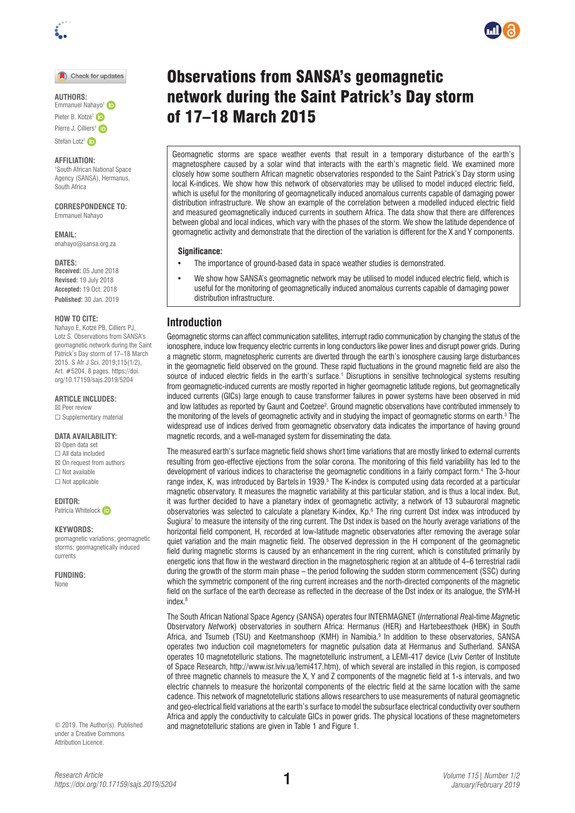

Check for updates

### **AUTHORS:**

Emmanuel Nahayo<sup>[1](http://orcid.org/0000-0003-0651-9025)</sup> Pieter B. Kotzé<sup>[1](http://orcid.org/0000-0002-9478-2853)</sup> Pierre J. Cilliers<sup>[1](http://orcid.org/0000-0003-3175-5134)</sup> Stefan Lotz<sup>[1](http://orcid.org/0000-0002-1037-348X)</sup> iD

## **AFFILIATION:**

1 South African National Space Agency (SANSA), Hermanus, South Africa

**CORRESPONDENCE TO:** Emmanuel Nahayo

**EMAIL:** [enahayo@sansa.org.za](mailto:enahayo@sansa.org.za)

**DATES:**

**Received:** 05 June 2018 **Revised:** 19 July 2018 **Accepted:** 19 Oct. 2018 **Published:** 30 Jan. 2019

#### **HOW TO CITE:**

Nahayo E, Kotzé PB, Cilliers PJ, Lotz S. Observations from SANSA's geomagnetic network during the Saint Patrick's Day storm of 17–18 March 2015. S Afr J Sci. 2019;115(1/2), Art. #5204, 8 pages. [https://doi.](https://doi.org/10.17159/sajs.2019/5204) [org/10.17159/sajs.2019/5204](https://doi.org/10.17159/sajs.2019/5204)

**ARTICLE INCLUDES:**

☒ Peer review □ Supplementary material

#### **DATA AVAILABILITY:**

☒ [Open data set](http://www.intermagnet.org/data-donnee/download-eng.php) ☐ All data included ☒ On request from authors ☐ Not available  $\Box$  Not applicable

### **EDITOR:**

PatriciaWhitelock<sup>b</sup>

#### **KEYWORDS:**

geomagnetic variations; geomagnetic storms; geomagnetically induced currents

**FUNDING:** 

None

© 2019. The Author(s). Published under a [Creative Commons](https://creativecommons.org/licenses/by/4.0/)  [Attribution Licence](https://creativecommons.org/licenses/by/4.0/).

# Observations from SANSA's geomagnetic network during the Saint Patrick's Day storm of 17–18 March 2015

Geomagnetic storms are space weather events that result in a temporary disturbance of the earth's magnetosphere caused by a solar wind that interacts with the earth's magnetic field. We examined more closely how some southern African magnetic observatories responded to the Saint Patrick's Day storm using local K-indices. We show how this network of observatories may be utilised to model induced electric field, which is useful for the monitoring of geomagnetically induced anomalous currents capable of damaging power distribution infrastructure. We show an example of the correlation between a modelled induced electric field and measured geomagnetically induced currents in southern Africa. The data show that there are differences between global and local indices, which vary with the phases of the storm. We show the latitude dependence of geomagnetic activity and demonstrate that the direction of the variation is different for the X and Y components.

#### **Significance:**

- The importance of ground-based data in space weather studies is demonstrated.
- We show how SANSA's geomagnetic network may be utilised to model induced electric field, which is useful for the monitoring of geomagnetically induced anomalous currents capable of damaging power distribution infrastructure.

## **Introduction**

Geomagnetic storms can affect communication satellites, interrupt radio communication by changing the status of the ionosphere, induce low frequency electric currents in long conductors like power lines and disrupt power grids. During a magnetic storm, magnetospheric currents are diverted through the earth's ionosphere causing large disturbances in the geomagnetic field observed on the ground. These rapid fluctuations in the ground magnetic field are also the source of induced electric fields in the earth's surface.<sup>1</sup> Disruptions in sensitive technological systems resulting from geomagnetic-induced currents are mostly reported in higher geomagnetic latitude regions, but geomagnetically induced currents (GICs) large enough to cause transformer failures in power systems have been observed in mid and low latitudes as reported by Gaunt and Coetzee<sup>2</sup>. Ground magnetic observations have contributed immensely to the monitoring of the levels of geomagnetic activity and in studying the impact of geomagnetic storms on earth. $^3$  The widespread use of indices derived from geomagnetic observatory data indicates the importance of having ground magnetic records, and a well-managed system for disseminating the data.

The measured earth's surface magnetic field shows short time variations that are mostly linked to external currents resulting from geo-effective ejections from the solar corona. The monitoring of this field variability has led to the development of various indices to characterise the geomagnetic conditions in a fairly compact form.4 The 3-hour range index, K, was introduced by Bartels in 1939.<sup>5</sup> The K-index is computed using data recorded at a particular magnetic observatory. It measures the magnetic variability at this particular station, and is thus a local index. But, it was further decided to have a planetary index of geomagnetic activity; a network of 13 subauroral magnetic observatories was selected to calculate a planetary K-index, Kp.6 The ring current Dst index was introduced by Sugiura<sup>7</sup> to measure the intensity of the ring current. The Dst index is based on the hourly average variations of the horizontal field component, H, recorded at low-latitude magnetic observatories after removing the average solar quiet variation and the main magnetic field. The observed depression in the H component of the geomagnetic field during magnetic storms is caused by an enhancement in the ring current, which is constituted primarily by energetic ions that flow in the westward direction in the magnetospheric region at an altitude of 4–6 terrestrial radii during the growth of the storm main phase – the period following the sudden storm commencement (SSC) during which the symmetric component of the ring current increases and the north-directed components of the magnetic field on the surface of the earth decrease as reflected in the decrease of the Dst index or its analogue, the SYM-H index.8

The South African National Space Agency (SANSA) operates four INTERMAGNET (*Inte*rnational *R*eal-time *Mag*netic Observatory *Net*work) observatories in southern Africa: Hermanus (HER) and Hartebeesthoek (HBK) in South Africa, and Tsumeb (TSU) and Keetmanshoop (KMH) in Namibia.<sup>9</sup> In addition to these observatories, SANSA operates two induction coil magnetometers for magnetic pulsation data at Hermanus and Sutherland. SANSA operates 10 magnetotelluric stations. The magnetotelluric instrument, a LEMI-417 device (Lviv Center of Institute of Space Research, http://www.isr.lviv.ua/lemi417.htm), of which several are installed in this region, is composed of three magnetic channels to measure the X, Y and Z components of the magnetic field at 1-s intervals, and two electric channels to measure the horizontal components of the electric field at the same location with the same cadence. This network of magnetotelluric stations allows researchers to use measurements of natural geomagnetic and geo-electrical field variations at the earth's surface to model the subsurface electrical conductivity over southern Africa and apply the conductivity to calculate GICs in power grids. The physical locations of these magnetometers and magnetotelluric stations are given in Table 1 and Figure 1.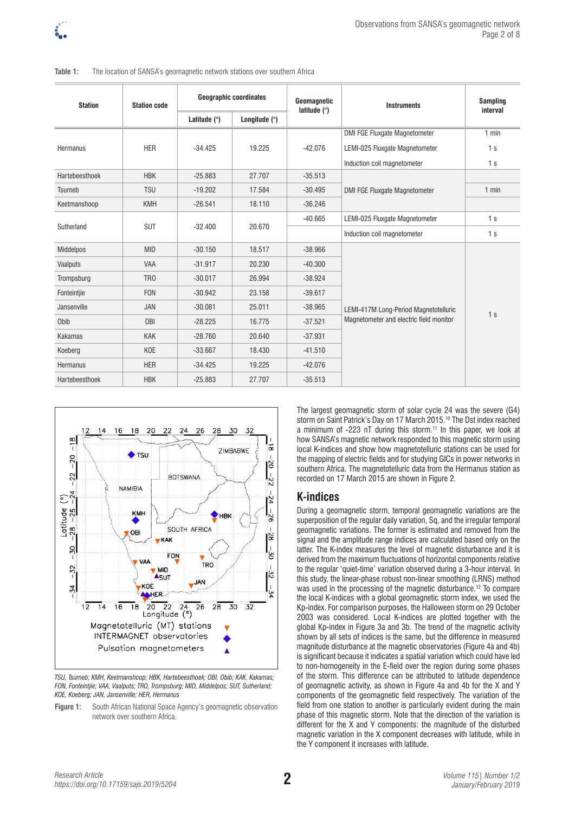

| <b>Station</b>  | <b>Station code</b> | <b>Geographic coordinates</b> |                 | Geomagnetic<br>latitude $(°)$ | <b>Instruments</b>                      | <b>Sampling</b><br>interval |
|-----------------|---------------------|-------------------------------|-----------------|-------------------------------|-----------------------------------------|-----------------------------|
|                 |                     | Latitude $(°)$                | Longitude $(°)$ |                               |                                         |                             |
| Hermanus        | <b>HER</b>          | $-34.425$                     | 19.225          | $-42.076$                     | <b>DMI FGE Fluxgate Magnetometer</b>    | $1$ min                     |
|                 |                     |                               |                 |                               | LEMI-025 Fluxgate Magnetometer          | 1 <sub>s</sub>              |
|                 |                     |                               |                 |                               | Induction coil magnetometer             | 1 <sub>s</sub>              |
| Hartebeesthoek  | <b>HBK</b>          | $-25.883$                     | 27.707          | $-35.513$                     |                                         |                             |
| Tsumeb          | <b>TSU</b>          | $-19.202$                     | 17.584          | $-30.495$                     | <b>DMI FGE Fluxgate Magnetometer</b>    | $1$ min                     |
| Keetmanshoop    | <b>KMH</b>          | $-26.541$                     | 18.110          | $-36.246$                     |                                         |                             |
| Sutherland      | <b>SUT</b>          | $-32.400$                     | 20.670          | $-40.665$                     | LEMI-025 Fluxgate Magnetometer          | 1 <sub>s</sub>              |
|                 |                     |                               |                 |                               | Induction coil magnetometer             | 1 <sub>s</sub>              |
| Middelpos       | <b>MID</b>          | $-30.150$                     | 18.517          | $-38.966$                     |                                         | 1 <sub>s</sub>              |
| Vaalputs        | VAA                 | $-31.917$                     | 20.230          | $-40.300$                     |                                         |                             |
| Trompsburg      | TR <sub>0</sub>     | $-30.017$                     | 26.994          | $-38.924$                     |                                         |                             |
| Fonteintjie     | <b>FON</b>          | $-30.942$                     | 23.158          | $-39.617$                     |                                         |                             |
| Jansenville     | JAN                 | $-30.081$                     | 25.011          | $-38.965$                     | LEMI-417M Long-Period Magnetotelluric   |                             |
| Obib            | <b>OBI</b>          | $-28.225$                     | 16.775          | $-37.521$                     | Magnetometer and electric field monitor |                             |
| Kakamas         | <b>KAK</b>          | $-28.760$                     | 20.640          | $-37.931$                     |                                         |                             |
| Koeberg         | <b>KOE</b>          | $-33.667$                     | 18.430          | $-41.510$                     |                                         |                             |
| <b>Hermanus</b> | <b>HER</b>          | $-34.425$                     | 19.225          | $-42.076$                     |                                         |                             |
| Hartebeesthoek  | <b>HBK</b>          | $-25.883$                     | 27.707          | $-35.513$                     |                                         |                             |

**Table 1:** The location of SANSA's geomagnetic network stations over southern Africa



*TSU, Tsumeb; KMH, Keetmanshoop; HBK, Hartebeesthoek; OBI, Obib; KAK, Kakamas; FON, Fonteintjie; VAA, Vaalputs; TRO, Trompsburg; MID, Middelpos; SUT, Sutherland; KOE, Koeberg; JAN, Jansenville; HER, Hermanus*

**Figure 1:** South African National Space Agency's geomagnetic observation network over southern Africa.

The largest geomagnetic storm of solar cycle 24 was the severe (G4) storm on Saint Patrick's Day on 17 March 2015.10 The Dst index reached a minimum of -223 nT during this storm.11 In this paper, we look at how SANSA's magnetic network responded to this magnetic storm using local K-indices and show how magnetotelluric stations can be used for the mapping of electric fields and for studying GICs in power networks in southern Africa. The magnetotelluric data from the Hermanus station as recorded on 17 March 2015 are shown in Figure 2.

## **K-indices**

During a geomagnetic storm, temporal geomagnetic variations are the superposition of the regular daily variation, Sq, and the irregular temporal geomagnetic variations. The former is estimated and removed from the signal and the amplitude range indices are calculated based only on the latter. The K-index measures the level of magnetic disturbance and it is derived from the maximum fluctuations of horizontal components relative to the regular 'quiet-time' variation observed during a 3-hour interval. In this study, the linear-phase robust non-linear smoothing (LRNS) method was used in the processing of the magnetic disturbance.<sup>12</sup> To compare the local K-indices with a global geomagnetic storm index, we used the Kp-index. For comparison purposes, the Halloween storm on 29 October 2003 was considered. Local K-indices are plotted together with the global Kp-index in Figure 3a and 3b. The trend of the magnetic activity shown by all sets of indices is the same, but the difference in measured magnitude disturbance at the magnetic observatories (Figure 4a and 4b) is significant because it indicates a spatial variation which could have led to non-homogeneity in the E-field over the region during some phases of the storm. This difference can be attributed to latitude dependence of geomagnetic activity, as shown in Figure 4a and 4b for the X and Y components of the geomagnetic field respectively. The variation of the field from one station to another is particularly evident during the main phase of this magnetic storm. Note that the direction of the variation is different for the X and Y components: the magnitude of the disturbed magnetic variation in the X component decreases with latitude, while in the Y component it increases with latitude.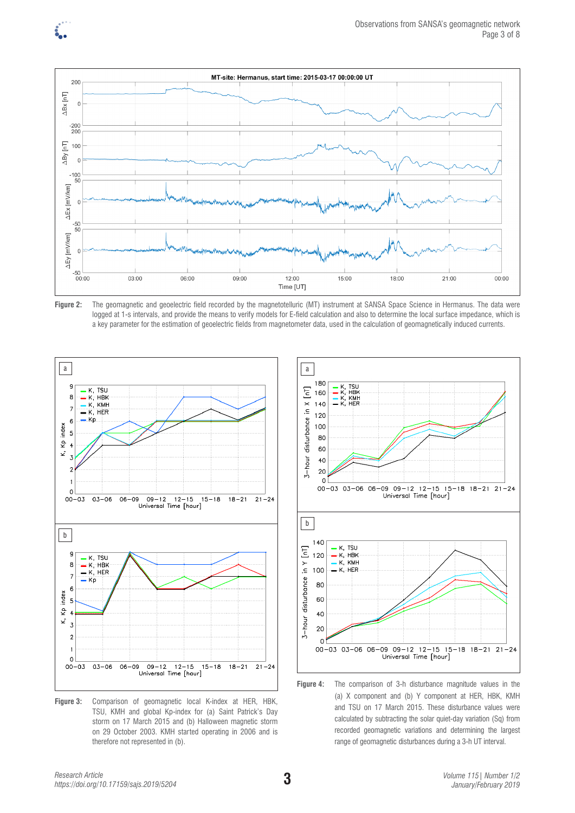

**Figure 2:** The geomagnetic and geoelectric field recorded by the magnetotelluric (MT) instrument at SANSA Space Science in Hermanus. The data were logged at 1-s intervals, and provide the means to verify models for E-field calculation and also to determine the local surface impedance, which is a key parameter for the estimation of geoelectric fields from magnetometer data, used in the calculation of geomagnetically induced currents.



**Figure 3:** Comparison of geomagnetic local K-index at HER, HBK, TSU, KMH and global Kp-index for (a) Saint Patrick's Day storm on 17 March 2015 and (b) Halloween magnetic storm on 29 October 2003. KMH started operating in 2006 and is therefore not represented in (b).



**Figure 4:** The comparison of 3-h disturbance magnitude values in the (a) X component and (b) Y component at HER, HBK, KMH and TSU on 17 March 2015. These disturbance values were calculated by subtracting the solar quiet-day variation (Sq) from recorded geomagnetic variations and determining the largest range of geomagnetic disturbances during a 3-h UT interval.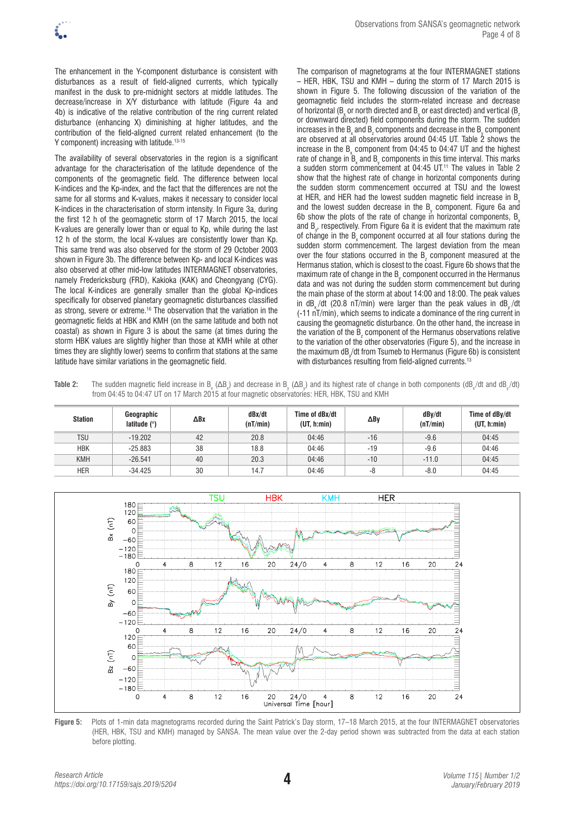The enhancement in the Y-component disturbance is consistent with disturbances as a result of field-aligned currents, which typically manifest in the dusk to pre-midnight sectors at middle latitudes. The decrease/increase in X/Y disturbance with latitude (Figure 4a and 4b) is indicative of the relative contribution of the ring current related disturbance (enhancing X) diminishing at higher latitudes, and the contribution of the field-aligned current related enhancement (to the Y component) increasing with latitude.<sup>13-15</sup>

The availability of several observatories in the region is a significant advantage for the characterisation of the latitude dependence of the components of the geomagnetic field. The difference between local K-indices and the Kp-index, and the fact that the differences are not the same for all storms and K-values, makes it necessary to consider local K-indices in the characterisation of storm intensity. In Figure 3a, during the first 12 h of the geomagnetic storm of 17 March 2015, the local K-values are generally lower than or equal to Kp, while during the last 12 h of the storm, the local K-values are consistently lower than Kp. This same trend was also observed for the storm of 29 October 2003 shown in Figure 3b. The difference between Kp- and local K-indices was also observed at other mid-low latitudes INTERMAGNET observatories, namely Fredericksburg (FRD), Kakioka (KAK) and Cheongyang (CYG). The local K-indices are generally smaller than the global Kp-indices specifically for observed planetary geomagnetic disturbances classified as strong, severe or extreme.16 The observation that the variation in the geomagnetic fields at HBK and KMH (on the same latitude and both not coastal) as shown in Figure 3 is about the same (at times during the storm HBK values are slightly higher than those at KMH while at other times they are slightly lower) seems to confirm that stations at the same latitude have similar variations in the geomagnetic field.

The comparison of magnetograms at the four INTERMAGNET stations – HER, HBK, TSU and KMH – during the storm of 17 March 2015 is shown in Figure 5. The following discussion of the variation of the geomagnetic field includes the storm-related increase and decrease of horizontal (B<sub>x</sub> or north directed and B<sub>y</sub> or east directed) and vertical (B<sub>z</sub> or downward directed) field components during the storm. The sudden increases in the B<sub>x</sub> and B<sub>z</sub> components and decrease in the B<sub>y</sub> component are observed at all observatories around 04:45 UT. Table  $\acute{2}$  shows the increase in the  $B_x$  component from 04:45 to 04:47 UT and the highest rate of change in  $B_{x}$  and  $B_{y}$  components in this time interval. This marks a sudden storm commencement at 04:45 UT.<sup>11</sup> The values in Table 2 show that the highest rate of change in horizontal components during the sudden storm commencement occurred at TSU and the lowest at HER, and HER had the lowest sudden magnetic field increase in  $B_n$ and the lowest sudden decrease in the  $B_y$  component. Figure 6a and 6b show the plots of the rate of change in horizontal components,  $B_{\nu}$ and  $B_{y}$ , respectively. From Figure 6a it is evident that the maximum rate of change in the  $B_x$  component occurred at all four stations during the sudden storm commencement. The largest deviation from the mean over the four stations occurred in the  $B_z$  component measured at the Hermanus station, which is closest to the coast. Figure 6b shows that the maximum rate of change in the  $B_y$  component occurred in the Hermanus data and was not during the sudden storm commencement but during the main phase of the storm at about 14:00 and 18:00. The peak values in  $dB/dt$  (20.8 nT/min) were larger than the peak values in  $dB/dt$  $(-11 nT/min)$ , which seems to indicate a dominance of the ring current in causing the geomagnetic disturbance. On the other hand, the increase in the variation of the  $\mathtt{B}_z$  component of the Hermanus observations relative to the variation of the other observatories (Figure 5), and the increase in the maximum dBy /dt from Tsumeb to Hermanus (Figure 6b) is consistent with disturbances resulting from field-aligned currents.<sup>13</sup>

**Table 2:** The sudden magnetic field increase in B<sub>x</sub> (ΔB<sub>x</sub>) and decrease in B<sub>y</sub> (ΔB<sub>y</sub>) and its highest rate of change in both components (dB<sub>x</sub>/dt and dB<sub>y</sub>/dt) from 04:45 to 04:47 UT on 17 March 2015 at four magnetic observatories: HER, HBK, TSU and KMH

| <b>Station</b> | Geographic<br>latitude $(°)$ | ∆Bx | dBx/dt<br>(nT/min) | Time of dBx/dt<br>(UT, h: min) | $\Delta$ By | dBy/dt<br>(nT/min) | Time of dBy/dt<br>(UT, h: min) |
|----------------|------------------------------|-----|--------------------|--------------------------------|-------------|--------------------|--------------------------------|
| <b>TSU</b>     | $-19.202$                    | 42  | 20.8               | 04:46                          | $-16$       | $-9.6$             | 04:45                          |
| <b>HBK</b>     | $-25.883$                    | 38  | 18.8               | 04:46                          | $-19$       | $-9.6$             | 04:46                          |
| <b>KMH</b>     | $-26.541$                    | 40  | 20.3               | 04:46                          | $-10$       | $-11.0$            | 04:45                          |
| HER            | $-34.425$                    | 30  | 14.7               | 04:46                          | -8          | $-8.0$             | 04:45                          |



**Figure 5:** Plots of 1-min data magnetograms recorded during the Saint Patrick's Day storm, 17–18 March 2015, at the four INTERMAGNET observatories (HER, HBK, TSU and KMH) managed by SANSA. The mean value over the 2-day period shown was subtracted from the data at each station before plotting.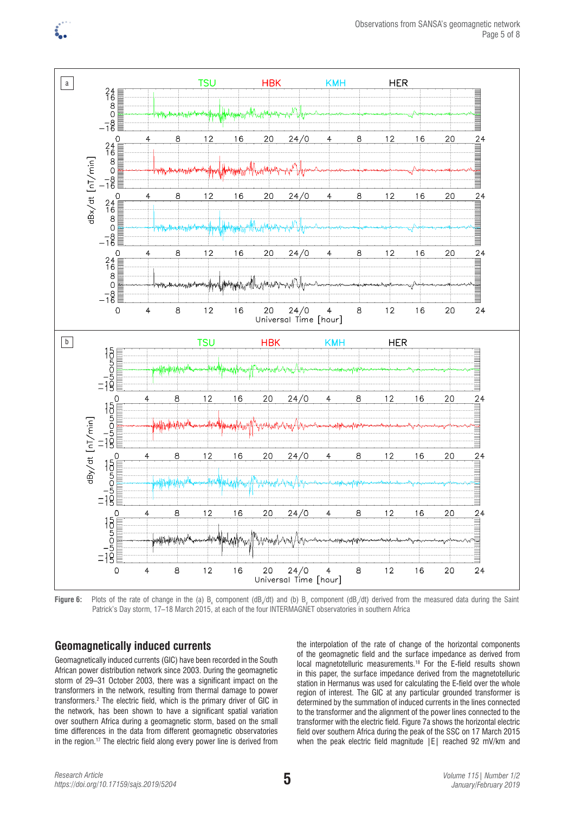

**Figure 6:** Plots of the rate of change in the (a)  $\mathsf{B}_{\mathsf{x}}$  component (dB<sub>x</sub>/dt) and (b)  $\mathsf{B}_{\mathsf{y}}$  component (dB<sub>x</sub>/dt) derived from the measured data during the Saint Patrick's Day storm, 17–18 March 2015, at each of the four INTERMAGNET observatories in southern Africa

# **Geomagnetically induced currents**

Geomagnetically induced currents (GIC) have been recorded in the South African power distribution network since 2003. During the geomagnetic storm of 29–31 October 2003, there was a significant impact on the transformers in the network, resulting from thermal damage to power transformers.2 The electric field, which is the primary driver of GIC in the network, has been shown to have a significant spatial variation over southern Africa during a geomagnetic storm, based on the small time differences in the data from different geomagnetic observatories in the region.<sup>17</sup> The electric field along every power line is derived from the interpolation of the rate of change of the horizontal components of the geomagnetic field and the surface impedance as derived from local magnetotelluric measurements.18 For the E-field results shown in this paper, the surface impedance derived from the magnetotelluric station in Hermanus was used for calculating the E-field over the whole region of interest. The GIC at any particular grounded transformer is determined by the summation of induced currents in the lines connected to the transformer and the alignment of the power lines connected to the transformer with the electric field. Figure 7a shows the horizontal electric field over southern Africa during the peak of the SSC on 17 March 2015 when the peak electric field magnitude  $|E|$  reached 92 mV/km and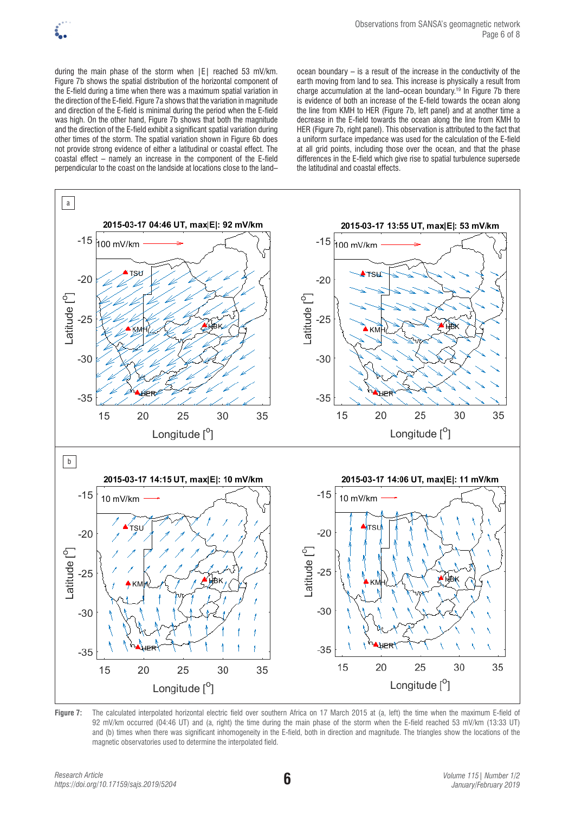during the main phase of the storm when  $|E|$  reached 53 mV/km. Figure 7b shows the spatial distribution of the horizontal component of the E-field during a time when there was a maximum spatial variation in the direction of the E-field. Figure 7a shows that the variation in magnitude and direction of the E-field is minimal during the period when the E-field was high. On the other hand, Figure 7b shows that both the magnitude and the direction of the E-field exhibit a significant spatial variation during other times of the storm. The spatial variation shown in Figure 6b does not provide strong evidence of either a latitudinal or coastal effect. The coastal effect – namely an increase in the component of the E-field perpendicular to the coast on the landside at locations close to the land–

ocean boundary – is a result of the increase in the conductivity of the earth moving from land to sea. This increase is physically a result from charge accumulation at the land–ocean boundary.19 In Figure 7b there is evidence of both an increase of the E-field towards the ocean along the line from KMH to HER (Figure 7b, left panel) and at another time a decrease in the E-field towards the ocean along the line from KMH to HER (Figure 7b, right panel). This observation is attributed to the fact that a uniform surface impedance was used for the calculation of the E-field at all grid points, including those over the ocean, and that the phase differences in the E-field which give rise to spatial turbulence supersede the latitudinal and coastal effects.



**Figure 7:** The calculated interpolated horizontal electric field over southern Africa on 17 March 2015 at (a, left) the time when the maximum E-field of 92 mV/km occurred (04:46 UT) and (a, right) the time during the main phase of the storm when the E-field reached 53 mV/km (13:33 UT) and (b) times when there was significant inhomogeneity in the E-field, both in direction and magnitude. The triangles show the locations of the magnetic observatories used to determine the interpolated field.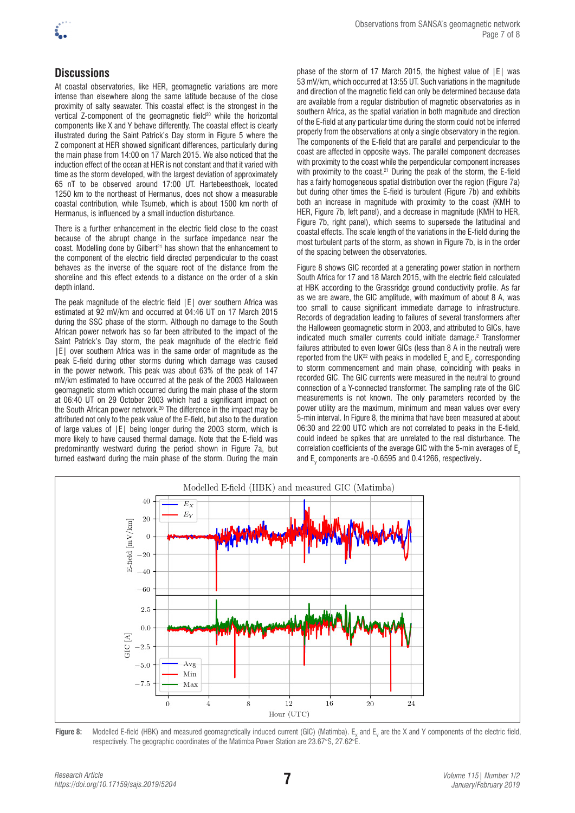

## **Discussions**

At coastal observatories, like HER, geomagnetic variations are more intense than elsewhere along the same latitude because of the close proximity of salty seawater. This coastal effect is the strongest in the vertical Z-component of the geomagnetic field<sup>20</sup> while the horizontal components like X and Y behave differently. The coastal effect is clearly illustrated during the Saint Patrick's Day storm in Figure 5 where the Z component at HER showed significant differences, particularly during the main phase from 14:00 on 17 March 2015. We also noticed that the induction effect of the ocean at HER is not constant and that it varied with time as the storm developed, with the largest deviation of approximately 65 nT to be observed around 17:00 UT. Hartebeesthoek, located 1250 km to the northeast of Hermanus, does not show a measurable coastal contribution, while Tsumeb, which is about 1500 km north of Hermanus, is influenced by a small induction disturbance.

There is a further enhancement in the electric field close to the coast because of the abrupt change in the surface impedance near the coast. Modelling done by Gilbert<sup>21</sup> has shown that the enhancement to the component of the electric field directed perpendicular to the coast behaves as the inverse of the square root of the distance from the shoreline and this effect extends to a distance on the order of a skin depth inland.

The peak magnitude of the electric field |E| over southern Africa was estimated at 92 mV/km and occurred at 04:46 UT on 17 March 2015 during the SSC phase of the storm. Although no damage to the South African power network has so far been attributed to the impact of the Saint Patrick's Day storm, the peak magnitude of the electric field |E| over southern Africa was in the same order of magnitude as the peak E-field during other storms during which damage was caused in the power network. This peak was about 63% of the peak of 147 mV/km estimated to have occurred at the peak of the 2003 Halloween geomagnetic storm which occurred during the main phase of the storm at 06:40 UT on 29 October 2003 which had a significant impact on the South African power network.20 The difference in the impact may be attributed not only to the peak value of the E-field, but also to the duration of large values of |E| being longer during the 2003 storm, which is more likely to have caused thermal damage. Note that the E-field was predominantly westward during the period shown in Figure 7a, but turned eastward during the main phase of the storm. During the main phase of the storm of 17 March 2015, the highest value of |E| was 53 mV/km, which occurred at 13:55 UT. Such variations in the magnitude and direction of the magnetic field can only be determined because data are available from a regular distribution of magnetic observatories as in southern Africa, as the spatial variation in both magnitude and direction of the E-field at any particular time during the storm could not be inferred properly from the observations at only a single observatory in the region. The components of the E-field that are parallel and perpendicular to the coast are affected in opposite ways. The parallel component decreases with proximity to the coast while the perpendicular component increases with proximity to the coast.<sup>21</sup> During the peak of the storm, the E-field has a fairly homogeneous spatial distribution over the region (Figure 7a) but during other times the E-field is turbulent (Figure 7b) and exhibits both an increase in magnitude with proximity to the coast (KMH to HER, Figure 7b, left panel), and a decrease in magnitude (KMH to HER, Figure 7b, right panel), which seems to supersede the latitudinal and coastal effects. The scale length of the variations in the E-field during the most turbulent parts of the storm, as shown in Figure 7b, is in the order of the spacing between the observatories.

Figure 8 shows GIC recorded at a generating power station in northern South Africa for 17 and 18 March 2015, with the electric field calculated at HBK according to the Grassridge ground conductivity profile. As far as we are aware, the GIC amplitude, with maximum of about 8 A, was too small to cause significant immediate damage to infrastructure. Records of degradation leading to failures of several transformers after the Halloween geomagnetic storm in 2003, and attributed to GICs, have indicated much smaller currents could initiate damage.<sup>2</sup> Transformer failures attributed to even lower GICs (less than 8 A in the neutral) were reported from the UK<sup>22</sup> with peaks in modelled  $\mathsf{E}_\mathsf{x}$  and  $\mathsf{E}_\mathsf{y}$ , corresponding to storm commencement and main phase, coinciding with peaks in recorded GIC. The GIC currents were measured in the neutral to ground connection of a Y-connected transformer. The sampling rate of the GIC measurements is not known. The only parameters recorded by the power utility are the maximum, minimum and mean values over every 5-min interval. In Figure 8, the minima that have been measured at about 06:30 and 22:00 UTC which are not correlated to peaks in the E-field, could indeed be spikes that are unrelated to the real disturbance. The correlation coefficients of the average GIC with the 5-min averages of E<sub>x</sub> and  $E_y$  components are -0.6595 and 0.41266, respectively.



**Figure 8:** Modelled E-field (HBK) and measured geomagnetically induced current (GIC) (Matimba).  $\mathsf{E}_{\chi}$  and  $\mathsf{E}_{\gamma}$  are the X and Y components of the electric field, respectively. The geographic coordinates of the Matimba Power Station are 23.67°S, 27.62°E.